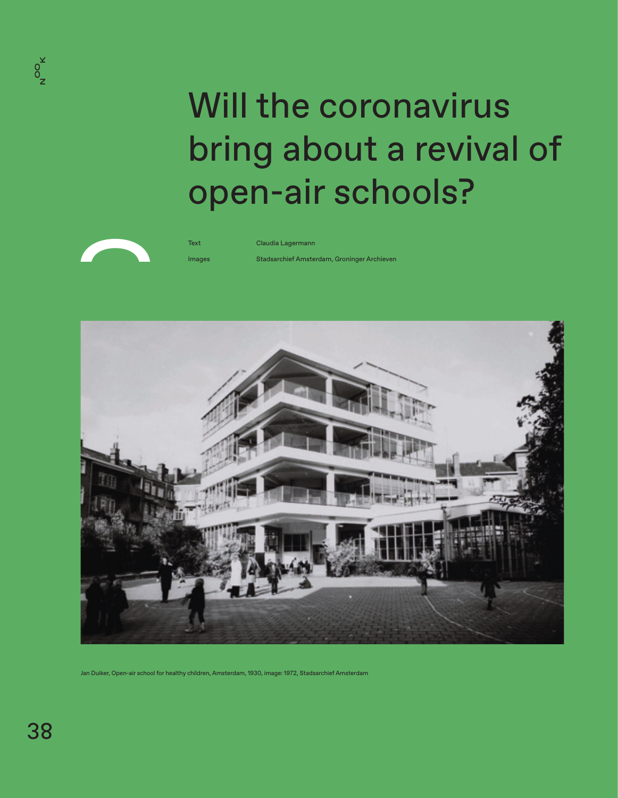# Will the coronavirus bring about a revival of open-air schools?



Text Claudia Lagermann

Images Stadsarchief Amsterdam, Groninger Archieven



Jan Duiker, Open-air school for healthy children, Amsterdam, 1930, image: 1972, Stadsarchief Amsterdam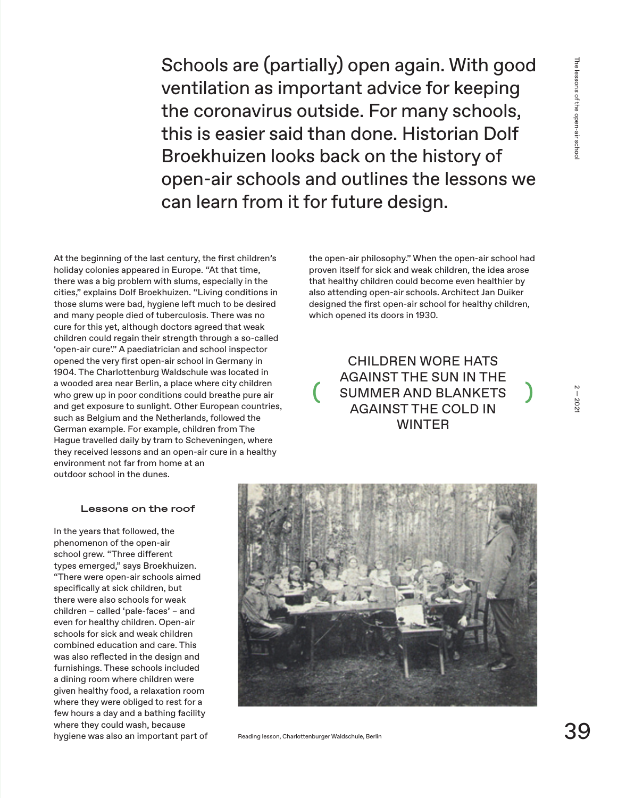Schools are (partially) open again. With good ventilation as important advice for keeping the coronavirus outside. For many schools, this is easier said than done. Historian Dolf Broekhuizen looks back on the history of open-air schools and outlines the lessons we can learn from it for future design.

At the beginning of the last century, the first children's holiday colonies appeared in Europe. "At that time, there was a big problem with slums, especially in the cities," explains Dolf Broekhuizen. "Living conditions in those slums were bad, hygiene left much to be desired and many people died of tuberculosis. There was no cure for this yet, although doctors agreed that weak children could regain their strength through a so-called 'open-air cure'." A paediatrician and school inspector opened the very first open-air school in Germany in 1904. The Charlottenburg Waldschule was located in a wooded area near Berlin, a place where city children who grew up in poor conditions could breathe pure air and get exposure to sunlight. Other European countries, such as Belgium and the Netherlands, followed the German example. For example, children from The Hague travelled daily by tram to Scheveningen, where they received lessons and an open-air cure in a healthy environment not far from home at an outdoor school in the dunes.

#### **Lessons on the roof**

In the years that followed, the phenomenon of the open-air school grew. "Three different types emerged," says Broekhuizen. "There were open-air schools aimed specifically at sick children, but there were also schools for weak children – called 'pale-faces' – and even for healthy children. Open-air schools for sick and weak children combined education and care. This was also reflected in the design and furnishings. These schools included a dining room where children were given healthy food, a relaxation room where they were obliged to rest for a few hours a day and a bathing facility where they could wash, because hygiene was also an important part of the open-air philosophy." When the open-air school had proven itself for sick and weak children, the idea arose that healthy children could become even healthier by also attending open-air schools. Architect Jan Duiker designed the first open-air school for healthy children, which opened its doors in 1930.

CHILDREN WORE HATS AGAINST THE SUN IN THE SUMMER AND BLANKETS AGAINST THE COLD IN WINTER



Reading lesson, Charlottenburger Waldschule, Berlin

(

2 — 2021

 $2 - 202$ 

)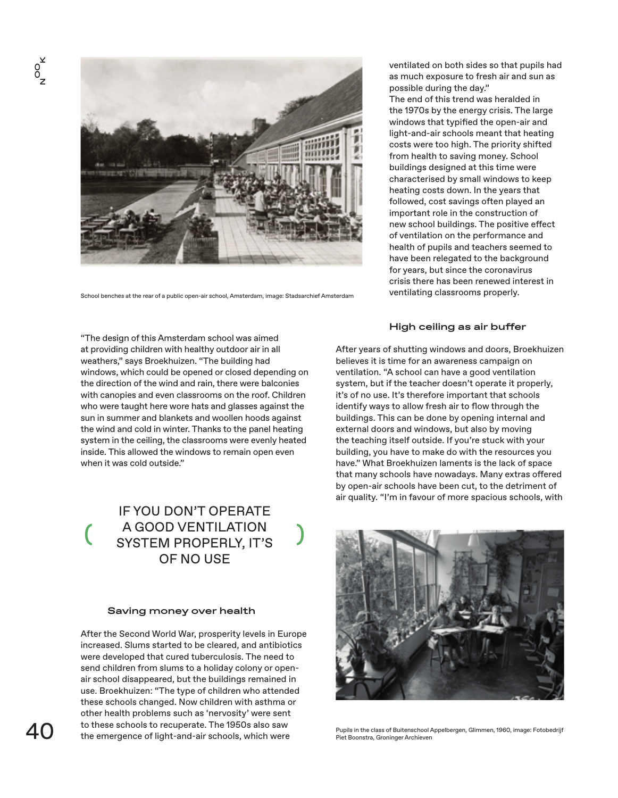

School benches at the rear of a public open-air school, Amsterdam, image: Stadsarchief Amsterdam

ventilated on both sides so that pupils had as much exposure to fresh air and sun as possible during the day."

The end of this trend was heralded in the 1970s by the energy crisis. The large windows that typified the open-air and light-and-air schools meant that heating costs were too high. The priority shifted from health to saving money. School buildings designed at this time were characterised by small windows to keep heating costs down. In the years that followed, cost savings often played an important role in the construction of new school buildings. The positive effect of ventilation on the performance and health of pupils and teachers seemed to have been relegated to the background for years, but since the coronavirus crisis there has been renewed interest in ventilating classrooms properly.

# **High ceiling as air buffer**

"The design of this Amsterdam school was aimed at providing children with healthy outdoor air in all weathers," says Broekhuizen. "The building had windows, which could be opened or closed depending on the direction of the wind and rain, there were balconies with canopies and even classrooms on the roof. Children who were taught here wore hats and glasses against the sun in summer and blankets and woollen hoods against the wind and cold in winter. Thanks to the panel heating system in the ceiling, the classrooms were evenly heated inside. This allowed the windows to remain open even when it was cold outside."

( IF YOU DON'T OPERATE A GOOD VENTILATION SYSTEM PROPERLY, IT'S OF NO USE

)

# **Saving money over health**

After the Second World War, prosperity levels in Europe increased. Slums started to be cleared, and antibiotics were developed that cured tuberculosis. The need to send children from slums to a holiday colony or openair school disappeared, but the buildings remained in use. Broekhuizen: "The type of children who attended these schools changed. Now children with asthma or other health problems such as 'nervosity' were sent to these schools to recuperate. The 1950s also saw the emergence of light-and-air schools, which were

After years of shutting windows and doors, Broekhuizen believes it is time for an awareness campaign on ventilation. "A school can have a good ventilation system, but if the teacher doesn't operate it properly, it's of no use. It's therefore important that schools identify ways to allow fresh air to flow through the buildings. This can be done by opening internal and external doors and windows, but also by moving the teaching itself outside. If you're stuck with your building, you have to make do with the resources you have." What Broekhuizen laments is the lack of space that many schools have nowadays. Many extras offered by open-air schools have been cut, to the detriment of air quality. "I'm in favour of more spacious schools, with



Pupils in the class of Buitenschool Appelbergen, Glimmen, 1960, image: Fotobedrijf Piet Boonstra, Groninger Archieven